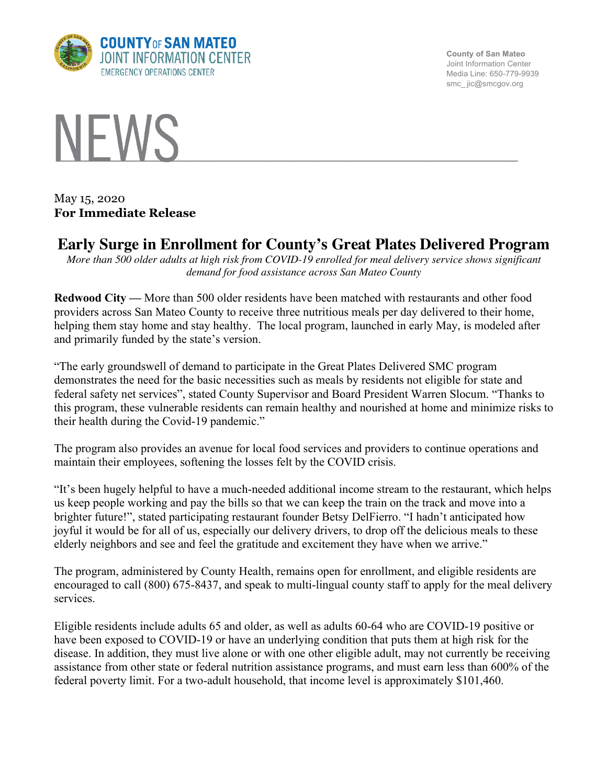

**County of San Mateo** Joint Information Center Media Line: 650-779-9939 smc\_ jic@smcgov.org



May 15, 2020 **For Immediate Release**

## **Early Surge in Enrollment for County's Great Plates Delivered Program**

*More than 500 older adults at high risk from COVID-19 enrolled for meal delivery service shows significant demand for food assistance across San Mateo County*

**Redwood City —** More than 500 older residents have been matched with restaurants and other food providers across San Mateo County to receive three nutritious meals per day delivered to their home, helping them stay home and stay healthy. The local program, launched in early May, is modeled after and primarily funded by the state's version.

"The early groundswell of demand to participate in the Great Plates Delivered SMC program demonstrates the need for the basic necessities such as meals by residents not eligible for state and federal safety net services", stated County Supervisor and Board President Warren Slocum. "Thanks to this program, these vulnerable residents can remain healthy and nourished at home and minimize risks to their health during the Covid-19 pandemic."

The program also provides an avenue for local food services and providers to continue operations and maintain their employees, softening the losses felt by the COVID crisis.

"It's been hugely helpful to have a much-needed additional income stream to the restaurant, which helps us keep people working and pay the bills so that we can keep the train on the track and move into a brighter future!", stated participating restaurant founder Betsy DelFierro. "I hadn't anticipated how joyful it would be for all of us, especially our delivery drivers, to drop off the delicious meals to these elderly neighbors and see and feel the gratitude and excitement they have when we arrive."

The program, administered by County Health, remains open for enrollment, and eligible residents are encouraged to call (800) 675-8437, and speak to multi-lingual county staff to apply for the meal delivery services.

Eligible residents include adults 65 and older, as well as adults 60-64 who are COVID-19 positive or have been exposed to COVID-19 or have an underlying condition that puts them at high risk for the disease. In addition, they must live alone or with one other eligible adult, may not currently be receiving assistance from other state or federal nutrition assistance programs, and must earn less than 600% of the federal poverty limit. For a two-adult household, that income level is approximately \$101,460.